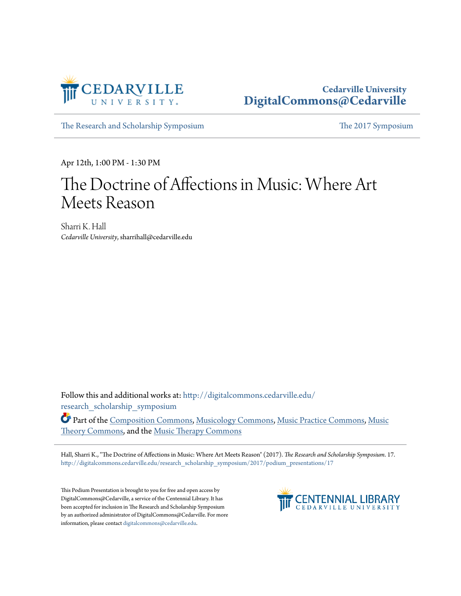

## **Cedarville University [DigitalCommons@Cedarville](http://digitalcommons.cedarville.edu?utm_source=digitalcommons.cedarville.edu%2Fresearch_scholarship_symposium%2F2017%2Fpodium_presentations%2F17&utm_medium=PDF&utm_campaign=PDFCoverPages)**

[The Research and Scholarship Symposium](http://digitalcommons.cedarville.edu/research_scholarship_symposium?utm_source=digitalcommons.cedarville.edu%2Fresearch_scholarship_symposium%2F2017%2Fpodium_presentations%2F17&utm_medium=PDF&utm_campaign=PDFCoverPages) [The 2017 Symposium](http://digitalcommons.cedarville.edu/research_scholarship_symposium/2017?utm_source=digitalcommons.cedarville.edu%2Fresearch_scholarship_symposium%2F2017%2Fpodium_presentations%2F17&utm_medium=PDF&utm_campaign=PDFCoverPages)

Apr 12th, 1:00 PM - 1:30 PM

## The Doctrine of Affections in Music: Where Art Meets Reason

Sharri K. Hall *Cedarville University*, sharrihall@cedarville.edu

Follow this and additional works at: [http://digitalcommons.cedarville.edu/](http://digitalcommons.cedarville.edu/research_scholarship_symposium?utm_source=digitalcommons.cedarville.edu%2Fresearch_scholarship_symposium%2F2017%2Fpodium_presentations%2F17&utm_medium=PDF&utm_campaign=PDFCoverPages) [research\\_scholarship\\_symposium](http://digitalcommons.cedarville.edu/research_scholarship_symposium?utm_source=digitalcommons.cedarville.edu%2Fresearch_scholarship_symposium%2F2017%2Fpodium_presentations%2F17&utm_medium=PDF&utm_campaign=PDFCoverPages)

Part of the [Composition Commons,](http://network.bepress.com/hgg/discipline/519?utm_source=digitalcommons.cedarville.edu%2Fresearch_scholarship_symposium%2F2017%2Fpodium_presentations%2F17&utm_medium=PDF&utm_campaign=PDFCoverPages) [Musicology Commons](http://network.bepress.com/hgg/discipline/521?utm_source=digitalcommons.cedarville.edu%2Fresearch_scholarship_symposium%2F2017%2Fpodium_presentations%2F17&utm_medium=PDF&utm_campaign=PDFCoverPages), [Music Practice Commons](http://network.bepress.com/hgg/discipline/523?utm_source=digitalcommons.cedarville.edu%2Fresearch_scholarship_symposium%2F2017%2Fpodium_presentations%2F17&utm_medium=PDF&utm_campaign=PDFCoverPages), [Music](http://network.bepress.com/hgg/discipline/522?utm_source=digitalcommons.cedarville.edu%2Fresearch_scholarship_symposium%2F2017%2Fpodium_presentations%2F17&utm_medium=PDF&utm_campaign=PDFCoverPages) [Theory Commons,](http://network.bepress.com/hgg/discipline/522?utm_source=digitalcommons.cedarville.edu%2Fresearch_scholarship_symposium%2F2017%2Fpodium_presentations%2F17&utm_medium=PDF&utm_campaign=PDFCoverPages) and the [Music Therapy Commons](http://network.bepress.com/hgg/discipline/1248?utm_source=digitalcommons.cedarville.edu%2Fresearch_scholarship_symposium%2F2017%2Fpodium_presentations%2F17&utm_medium=PDF&utm_campaign=PDFCoverPages)

Hall, Sharri K., "The Doctrine of Affections in Music: Where Art Meets Reason" (2017). *The Research and Scholarship Symposium*. 17. [http://digitalcommons.cedarville.edu/research\\_scholarship\\_symposium/2017/podium\\_presentations/17](http://digitalcommons.cedarville.edu/research_scholarship_symposium/2017/podium_presentations/17?utm_source=digitalcommons.cedarville.edu%2Fresearch_scholarship_symposium%2F2017%2Fpodium_presentations%2F17&utm_medium=PDF&utm_campaign=PDFCoverPages)

This Podium Presentation is brought to you for free and open access by DigitalCommons@Cedarville, a service of the Centennial Library. It has been accepted for inclusion in The Research and Scholarship Symposium by an authorized administrator of DigitalCommons@Cedarville. For more information, please contact [digitalcommons@cedarville.edu.](mailto:digitalcommons@cedarville.edu)